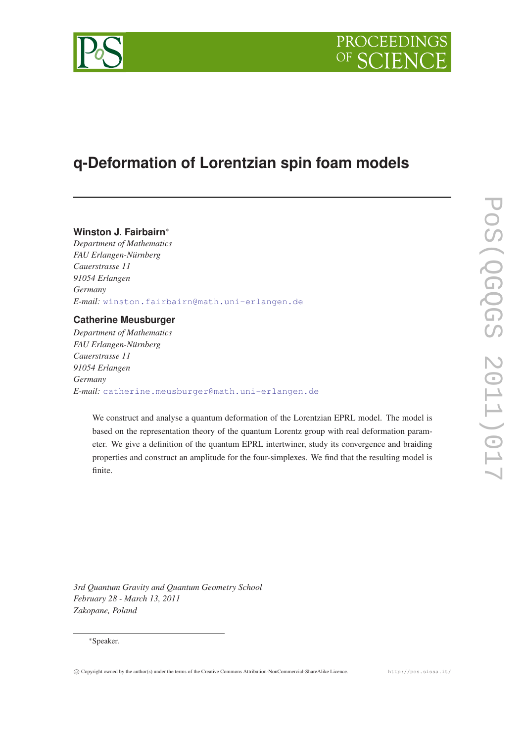

# **q-Deformation of Lorentzian spin foam models**

# **Winston J. Fairbairn**<sup>∗</sup>

*Department of Mathematics FAU Erlangen-Nürnberg Cauerstrasse 11 91054 Erlangen Germany E-mail:* [winston.fairbairn@math.uni-erlangen.de](mailto:winston.fairbairn@math.uni-erlangen.de)

# **Catherine Meusburger**

*Department of Mathematics FAU Erlangen-Nürnberg Cauerstrasse 11 91054 Erlangen Germany E-mail:* [catherine.meusburger@math.uni-erlangen.de](mailto:catherine.meusburger@math.uni-erlangen.de)

We construct and analyse a quantum deformation of the Lorentzian EPRL model. The model is based on the representation theory of the quantum Lorentz group with real deformation parameter. We give a definition of the quantum EPRL intertwiner, study its convergence and braiding properties and construct an amplitude for the four-simplexes. We find that the resulting model is finite.

*3rd Quantum Gravity and Quantum Geometry School February 28 - March 13, 2011 Zakopane, Poland*

# <sup>∗</sup>Speaker.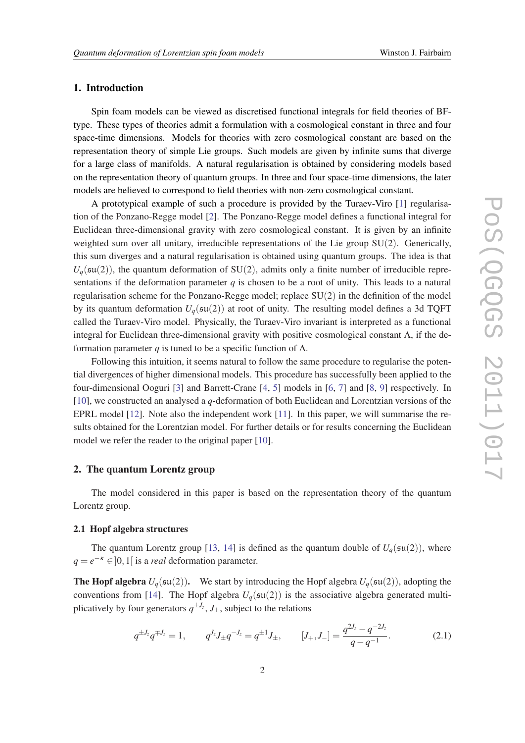# 1. Introduction

Spin foam models can be viewed as discretised functional integrals for field theories of BFtype. These types of theories admit a formulation with a cosmological constant in three and four space-time dimensions. Models for theories with zero cosmological constant are based on the representation theory of simple Lie groups. Such models are given by infinite sums that diverge for a large class of manifolds. A natural regularisation is obtained by considering models based on the representation theory of quantum groups. In three and four space-time dimensions, the later models are believed to correspond to field theories with non-zero cosmological constant.

A prototypical example of such a procedure is provided by the Turaev-Viro [\[1\]](#page-10-0) regularisation of the Ponzano-Regge model [\[2](#page-10-0)]. The Ponzano-Regge model defines a functional integral for Euclidean three-dimensional gravity with zero cosmological constant. It is given by an infinite weighted sum over all unitary, irreducible representations of the Lie group SU(2). Generically, this sum diverges and a natural regularisation is obtained using quantum groups. The idea is that  $U_q(\mathfrak{su}(2))$ , the quantum deformation of SU(2), admits only a finite number of irreducible representations if the deformation parameter  $q$  is chosen to be a root of unity. This leads to a natural regularisation scheme for the Ponzano-Regge model; replace  $SU(2)$  in the definition of the model by its quantum deformation  $U_q(\mathfrak{su}(2))$  at root of unity. The resulting model defines a 3d TQFT called the Turaev-Viro model. Physically, the Turaev-Viro invariant is interpreted as a functional integral for Euclidean three-dimensional gravity with positive cosmological constant  $\Lambda$ , if the deformation parameter *q* is tuned to be a specific function of Λ.

Following this intuition, it seems natural to follow the same procedure to regularise the potential divergences of higher dimensional models. This procedure has successfully been applied to the four-dimensional Ooguri [[3\]](#page-11-0) and Barrett-Crane [\[4,](#page-11-0) [5](#page-11-0)] models in [\[6,](#page-11-0) [7](#page-11-0)] and [\[8,](#page-11-0) [9](#page-11-0)] respectively. In [[10\]](#page-11-0), we constructed an analysed a *q*-deformation of both Euclidean and Lorentzian versions of the EPRL model [\[12\]](#page-11-0). Note also the independent work [\[11](#page-11-0)]. In this paper, we will summarise the results obtained for the Lorentzian model. For further details or for results concerning the Euclidean model we refer the reader to the original paper [[10\]](#page-11-0).

## 2. The quantum Lorentz group

The model considered in this paper is based on the representation theory of the quantum Lorentz group.

#### 2.1 Hopf algebra structures

The quantum Lorentz group [[13,](#page-11-0) [14\]](#page-11-0) is defined as the quantum double of  $U_q(\mathfrak{su}(2))$ , where  $q = e^{-\kappa} \in ]0,1[$  is a *real* deformation parameter.

**The Hopf algebra**  $U_q(\mathfrak{su}(2))$ . We start by introducing the Hopf algebra  $U_q(\mathfrak{su}(2))$ , adopting the conventions from [\[14\]](#page-11-0). The Hopf algebra  $U_q(\mathfrak{su}(2))$  is the associative algebra generated multiplicatively by four generators  $q^{\pm J_z}$ ,  $J_\pm$ , subject to the relations

$$
q^{\pm J_z} q^{\mp J_z} = 1, \qquad q^{J_z} J_{\pm} q^{-J_z} = q^{\pm 1} J_{\pm}, \qquad [J_+, J_-] = \frac{q^{2J_z} - q^{-2J_z}}{q - q^{-1}}.
$$
 (2.1)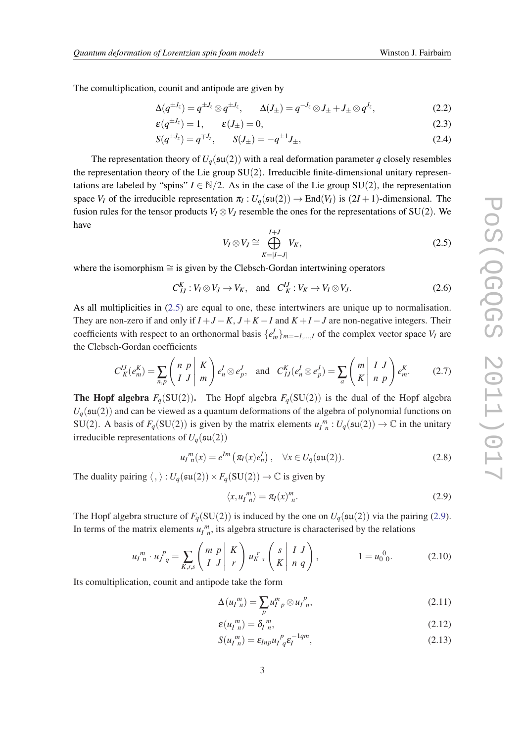The comultiplication, counit and antipode are given by

$$
\Delta(q^{\pm J_z}) = q^{\pm J_z} \otimes q^{\pm J_z}, \qquad \Delta(J_{\pm}) = q^{-J_z} \otimes J_{\pm} + J_{\pm} \otimes q^{J_z}, \tag{2.2}
$$

$$
\varepsilon(q^{\pm J_z}) = 1, \qquad \varepsilon(J_{\pm}) = 0,\tag{2.3}
$$

$$
S(q^{\pm J_z}) = q^{\mp J_z}, \qquad S(J_{\pm}) = -q^{\pm 1} J_{\pm}, \tag{2.4}
$$

The representation theory of  $U_q(\mathfrak{su}(2))$  with a real deformation parameter *q* closely resembles the representation theory of the Lie group SU(2). Irreducible finite-dimensional unitary representations are labeled by "spins"  $I \in \mathbb{N}/2$ . As in the case of the Lie group SU(2), the representation space *V<sub>I</sub>* of the irreducible representation  $\pi_I: U_q(\mathfrak{su}(2)) \to \text{End}(V_I)$  is  $(2I+1)$ -dimensional. The fusion rules for the tensor products  $V_I \otimes V_J$  resemble the ones for the representations of SU(2). We have

$$
V_I \otimes V_J \cong \bigoplus_{K=|I-J|}^{I+J} V_K,
$$
\n(2.5)

where the isomorphism ≅ is given by the Clebsch-Gordan intertwining operators

 $C_{IJ}^K : V_I \otimes V_J \to V_K$ , and  $C_K^{IJ} : V_K \to V_I \otimes V_J$ . (2.6)

As all multiplicities in (2.5) are equal to one, these intertwiners are unique up to normalisation. They are non-zero if and only if  $I+J-K$ ,  $J+K-I$  and  $K+I-J$  are non-negative integers. Their coefficients with respect to an orthonormal basis  $\{e_m^I\}_{m=-I,\dots,I}$  of the complex vector space  $V_I$  are the Clebsch-Gordan coefficients

$$
C_K^{IJ}(e_m^K) = \sum_{n,p} \begin{pmatrix} n & p \\ I & J \end{pmatrix} \begin{pmatrix} K \\ m \end{pmatrix} e_n^I \otimes e_p^J, \text{ and } C_{IJ}^K(e_n^I \otimes e_p^J) = \sum_a \begin{pmatrix} m & I & J \\ K & n & p \end{pmatrix} e_m^K. \tag{2.7}
$$

**The Hopf algebra**  $F_q(SU(2))$ . The Hopf algebra  $F_q(SU(2))$  is the dual of the Hopf algebra  $U_q(\mathfrak{su}(2))$  and can be viewed as a quantum deformations of the algebra of polynomial functions on SU(2). A basis of  $F_q(SU(2))$  is given by the matrix elements  $u_l^m : U_q(\mathfrak{su}(2)) \to \mathbb{C}$  in the unitary irreducible representations of  $U_q(\mathfrak{su}(2))$ 

$$
u_l^m(x) = e^{lm} \left( \pi_l(x) e_n^l \right), \quad \forall x \in U_q(\mathfrak{su}(2)). \tag{2.8}
$$

The duality pairing  $\langle , \rangle : U_q(\mathfrak{su}(2)) \times F_q(\mathrm{SU}(2)) \to \mathbb{C}$  is given by

$$
\langle x, u_n^m \rangle = \pi_I(x)_{n}^m. \tag{2.9}
$$

The Hopf algebra structure of  $F_q(SU(2))$  is induced by the one on  $U_q(\mathfrak{su}(2))$  via the pairing (2.9). In terms of the matrix elements  $u_l^m$ , its algebra structure is characterised by the relations

$$
u_{I\ n}^m \cdot u_{J\ q}^p = \sum_{K,r,s} \begin{pmatrix} m & p & K \\ I & J & r \end{pmatrix} u_{K\ s}^r \begin{pmatrix} s & I & J \\ K & n & q \end{pmatrix}, \qquad 1 = u_0^0.
$$
 (2.10)

Its comultiplication, counit and antipode take the form

$$
\Delta(u_{I\ n}^m) = \sum_p u_{I\ p}^m \otimes u_{I\ n}^p,\tag{2.11}
$$

$$
\varepsilon(u_l^m) = \delta_l^m,\tag{2.12}
$$

$$
S(u_I^m) = \varepsilon_{Inp} u_I^p{}_q \varepsilon_I^{-1qm},\tag{2.13}
$$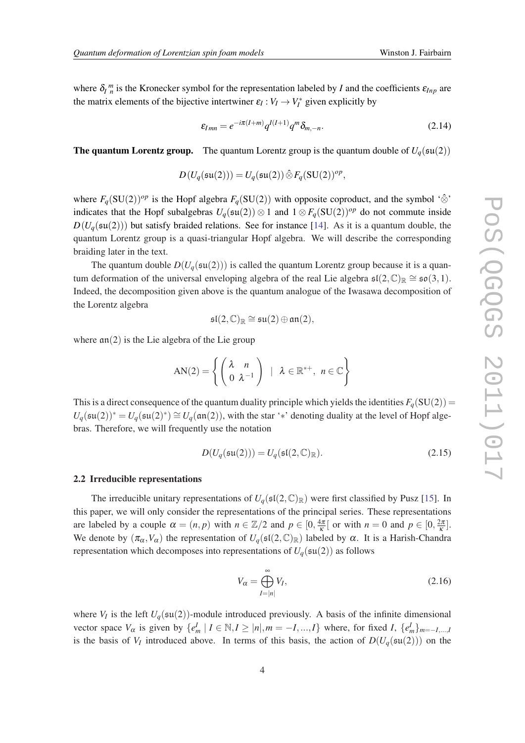<span id="page-3-0"></span>where  $\delta_l^m$  is the Kronecker symbol for the representation labeled by *I* and the coefficients  $\varepsilon_{Inp}$  are the matrix elements of the bijective intertwiner  $\varepsilon_I : V_I \to V_I^*$  given explicitly by

$$
\varepsilon_{lmn} = e^{-i\pi(I+m)}q^{I(I+1)}q^m \delta_{m,-n}.
$$
\n(2.14)

**The quantum Lorentz group.** The quantum Lorentz group is the quantum double of  $U_q(\mathfrak{su}(2))$ 

$$
D(U_q(\mathfrak{su}(2)))=U_q(\mathfrak{su}(2))\hat{\otimes} F_q(\mathrm{SU}(2))^{op},
$$

where  $F_q(SU(2))^{op}$  is the Hopf algebra  $F_q(SU(2))$  with opposite coproduct, and the symbol ' $\hat{\otimes}$ ' indicates that the Hopf subalgebras  $U_q(\mathfrak{su}(2)) \otimes 1$  and  $1 \otimes F_q(\mathrm{SU}(2))^{op}$  do not commute inside  $D(U_q(\mathfrak{su}(2)))$  but satisfy braided relations. See for instance [[14\]](#page-11-0). As it is a quantum double, the quantum Lorentz group is a quasi-triangular Hopf algebra. We will describe the corresponding braiding later in the text.

The quantum double  $D(U_q(\mathfrak{su}(2)))$  is called the quantum Lorentz group because it is a quantum deformation of the universal enveloping algebra of the real Lie algebra  $\mathfrak{sl}(2,\mathbb{C})_{\mathbb{R}} \cong \mathfrak{so}(3,1)$ . Indeed, the decomposition given above is the quantum analogue of the Iwasawa decomposition of the Lorentz algebra

$$
\mathfrak{sl}(2,\mathbb{C})_\mathbb{R}\cong \mathfrak{su}(2)\oplus \mathfrak{an}(2),
$$

where  $an(2)$  is the Lie algebra of the Lie group

$$
AN(2) = \left\{ \begin{pmatrix} \lambda & n \\ 0 & \lambda^{-1} \end{pmatrix} \mid \lambda \in \mathbb{R}^{*+}, n \in \mathbb{C} \right\}
$$

This is a direct consequence of the quantum duality principle which yields the identities  $F_q(SU(2)) =$  $U_q(\mathfrak{su}(2))^* = U_q(\mathfrak{su}(2)^*) \cong U_q(\mathfrak{an}(2))$ , with the star '\*' denoting duality at the level of Hopf algebras. Therefore, we will frequently use the notation

$$
D(U_q(\mathfrak{su}(2))) = U_q(\mathfrak{sl}(2,\mathbb{C})_{\mathbb{R}}). \tag{2.15}
$$

#### 2.2 Irreducible representations

The irreducible unitary representations of  $U_q(\mathfrak{sl}(2,\mathbb{C})_\mathbb{R})$  were first classified by Pusz [\[15](#page-11-0)]. In this paper, we will only consider the representations of the principal series. These representations are labeled by a couple  $\alpha = (n, p)$  with  $n \in \mathbb{Z}/2$  and  $p \in [0, \frac{4\pi}{\kappa}]$  $\frac{4\pi}{\kappa}$  [ or with  $n = 0$  and  $p \in [0, \frac{2\pi}{\kappa}]$  $\frac{2\pi}{\kappa}$ . We denote by  $(\pi_{\alpha}, V_{\alpha})$  the representation of  $U_q(\mathfrak{sl}(2,\mathbb{C})_{\mathbb{R}})$  labeled by  $\alpha$ . It is a Harish-Chandra representation which decomposes into representations of  $U_q(\mathfrak{su}(2))$  as follows

$$
V_{\alpha} = \bigoplus_{I=|n|}^{\infty} V_I,
$$
\n(2.16)

where  $V_I$  is the left  $U_q(\mathfrak{su}(2))$ -module introduced previously. A basis of the infinite dimensional vector space  $V_{\alpha}$  is given by  $\{e_m^I | I \in \mathbb{N}, I \geq |n|, m = -I, ..., I\}$  where, for fixed *I*,  $\{e_m^I\}_{m=-I,...,I}$ is the basis of  $V_I$  introduced above. In terms of this basis, the action of  $D(U_q(\mathfrak{su}(2)))$  on the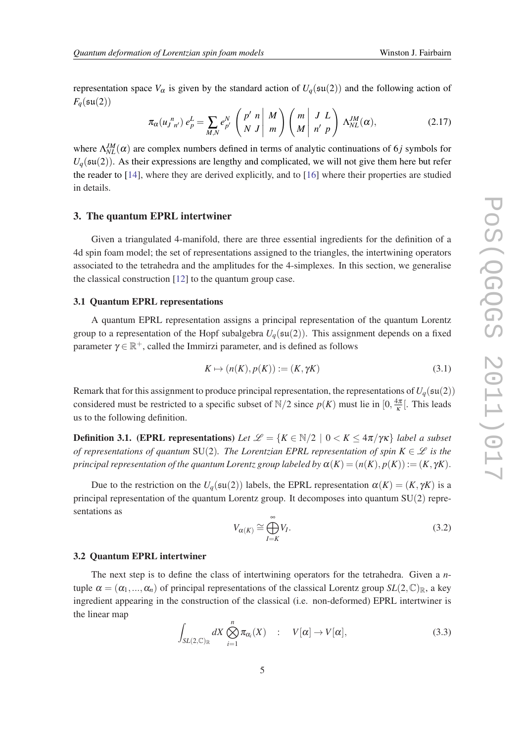<span id="page-4-0"></span>representation space  $V_\alpha$  is given by the standard action of  $U_q(\mathfrak{su}(2))$  and the following action of  $F_a(\mathfrak{su}(2))$ 

$$
\pi_{\alpha}(u_{J\ n'}^{\ n})\ e_p^L = \sum_{M,N} e_{p'}^N \left(\begin{array}{c|c} p' & n & M \\ N & J & m \end{array}\right) \left(\begin{array}{c|c} m & J & L \\ M & n' & p \end{array}\right) \Lambda_{NL}^{JM}(\alpha),\tag{2.17}
$$

where  $\Lambda_{NL}^{JM}(\alpha)$  are complex numbers defined in terms of analytic continuations of 6*j* symbols for  $U_q$ ( $\mathfrak{su}(2)$ ). As their expressions are lengthy and complicated, we will not give them here but refer the reader to [[14\]](#page-11-0), where they are derived explicitly, and to [[16](#page-11-0)] where their properties are studied in details.

# 3. The quantum EPRL intertwiner

Given a triangulated 4-manifold, there are three essential ingredients for the definition of a 4d spin foam model; the set of representations assigned to the triangles, the intertwining operators associated to the tetrahedra and the amplitudes for the 4-simplexes. In this section, we generalise the classical construction [\[12](#page-11-0)] to the quantum group case.

#### 3.1 Quantum EPRL representations

A quantum EPRL representation assigns a principal representation of the quantum Lorentz group to a representation of the Hopf subalgebra  $U_q(\mathfrak{su}(2))$ . This assignment depends on a fixed parameter  $\gamma \in \mathbb{R}^+$ , called the Immirzi parameter, and is defined as follows

$$
K \mapsto (n(K), p(K)) := (K, \gamma K) \tag{3.1}
$$

Remark that for this assignment to produce principal representation, the representations of  $U_q(\mathfrak{su}(2))$ considered must be restricted to a specific subset of  $N/2$  since  $p(K)$  must lie in  $[0, \frac{4\pi}{K}]$  $\frac{4\pi}{\kappa}$ [. This leads us to the following definition.

**Definition 3.1.** (EPRL representations) Let  $\mathcal{L} = \{K \in \mathbb{N}/2 \mid 0 \lt K \leq 4\pi/\gamma\kappa\}$  label a subset *of representations of quantum* SU(2). The Lorentzian EPRL representation of spin  $K \in \mathcal{L}$  is the *principal representation of the quantum Lorentz group labeled by*  $\alpha(K) = (n(K), p(K)) := (K, \gamma K)$ .

Due to the restriction on the  $U_q(\mathfrak{su}(2))$  labels, the EPRL representation  $\alpha(K) = (K, \gamma K)$  is a principal representation of the quantum Lorentz group. It decomposes into quantum SU(2) representations as

$$
V_{\alpha(K)} \cong \bigoplus_{I=K}^{\infty} V_I.
$$
\n(3.2)

#### 3.2 Quantum EPRL intertwiner

The next step is to define the class of intertwining operators for the tetrahedra. Given a *n*tuple  $\alpha = (\alpha_1, ..., \alpha_n)$  of principal representations of the classical Lorentz group  $SL(2, \mathbb{C})_{\mathbb{R}}$ , a key ingredient appearing in the construction of the classical (i.e. non-deformed) EPRL intertwiner is the linear map

$$
\int_{SL(2,\mathbb{C})_{\mathbb{R}}} dX \bigotimes_{i=1}^{n} \pi_{\alpha_i}(X) \quad : \quad V[\alpha] \to V[\alpha], \tag{3.3}
$$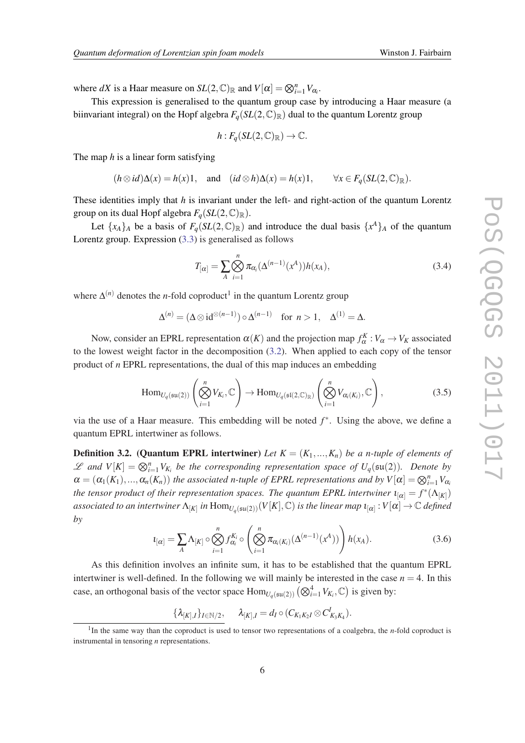where *dX* is a Haar measure on  $SL(2,\mathbb{C})_{\mathbb{R}}$  and  $V[\alpha] = \bigotimes_{i=1}^{n} V_{\alpha_i}$ .

This expression is generalised to the quantum group case by introducing a Haar measure (a biinvariant integral) on the Hopf algebra  $F_q(SL(2,\mathbb{C})_\mathbb{R})$  dual to the quantum Lorentz group

$$
h: F_q(SL(2,\mathbb{C})_{\mathbb{R}}) \to \mathbb{C}.
$$

The map *h* is a linear form satisfying

$$
(h \otimes id)\Delta(x) = h(x)1
$$
, and  $(id \otimes h)\Delta(x) = h(x)1$ ,  $\forall x \in F_q(SL(2,\mathbb{C})_{\mathbb{R}})$ .

These identities imply that *h* is invariant under the left- and right-action of the quantum Lorentz group on its dual Hopf algebra  $F_q(SL(2,\mathbb{C})_\mathbb{R})$ .

Let  $\{x_A\}_A$  be a basis of  $F_q(SL(2,\mathbb{C})_\mathbb{R})$  and introduce the dual basis  $\{x^A\}_A$  of the quantum Lorentz group. Expression [\(3.3](#page-4-0)) is generalised as follows

$$
T_{[\alpha]} = \sum_{A} \bigotimes_{i=1}^{n} \pi_{\alpha_i}(\Delta^{(n-1)}(x^A))h(x_A), \tag{3.4}
$$

where  $\Delta^{(n)}$  denotes the *n*-fold coproduct<sup>1</sup> in the quantum Lorentz group

$$
\Delta^{(n)} = (\Delta \otimes \mathrm{id}^{\otimes (n-1)}) \circ \Delta^{(n-1)} \quad \text{for } n > 1, \quad \Delta^{(1)} = \Delta.
$$

Now, consider an EPRL representation  $\alpha(K)$  and the projection map  $f_{\alpha}^K : V_{\alpha} \to V_K$  associated to the lowest weight factor in the decomposition  $(3.2)$  $(3.2)$  $(3.2)$ . When applied to each copy of the tensor product of *n* EPRL representations, the dual of this map induces an embedding

$$
\text{Hom}_{U_q(\mathfrak{su}(2))}\left(\bigotimes_{i=1}^n V_{K_i}, \mathbb{C}\right) \to \text{Hom}_{U_q(\mathfrak{sl}(2,\mathbb{C})_{\mathbb{R}})}\left(\bigotimes_{i=1}^n V_{\alpha_i(K_i)}, \mathbb{C}\right),\tag{3.5}
$$

via the use of a Haar measure. This embedding will be noted *f* ∗ . Using the above, we define a quantum EPRL intertwiner as follows.

**Definition 3.2. (Quantum EPRL intertwiner)** Let  $K = (K_1, ..., K_n)$  be a n-tuple of elements of  $\mathscr{L}$  and  $V[K] = \bigotimes_{i=1}^{n} V_{K_i}$  be the corresponding representation space of  $U_q(\mathfrak{su}(2))$ . Denote by  $\alpha = (\alpha_1(K_1), ..., \alpha_n(K_n))$  the associated n-tuple of EPRL representations and by  $V[\alpha] = \bigotimes_{i=1}^n V_{\alpha_i}$ *the tensor product of their representation spaces. The quantum EPRL intertwiner*  $\iota_{[\alpha]} = f^*(\Lambda_{[K]})$  $a$ ssociated to an intertwiner  $\Lambda_{[K]}$  in  $\text{Hom}_{U_q(\mathfrak{su}(2))}(V[K],\mathbb{C})$  is the linear map  $\iota_{[\alpha]}:V[\alpha]\to\mathbb{C}$  defined *by*

$$
u_{[\alpha]} = \sum_{A} \Lambda_{[K]} \circ \bigotimes_{i=1}^{n} f_{\alpha_i}^{K_i} \circ \left( \bigotimes_{i=1}^{n} \pi_{\alpha_i(K_i)}(\Delta^{(n-1)}(x^A)) \right) h(x_A).
$$
 (3.6)

As this definition involves an infinite sum, it has to be established that the quantum EPRL intertwiner is well-defined. In the following we will mainly be interested in the case  $n = 4$ . In this case, an orthogonal basis of the vector space  $Hom_{U_q(\mathfrak{su}(2))}(\bigotimes_{i=1}^4 V_{K_i}, \mathbb{C})$  is given by:

 $\{\lambda_{[K],I}\}_{I\in\mathbb{N}/2}, \quad \lambda_{[K],I} = d_I \circ (C_{K_1K_2I} \otimes C_{K_3K_4}^I).$ 

<sup>&</sup>lt;sup>1</sup>In the same way than the coproduct is used to tensor two representations of a coalgebra, the *n*-fold coproduct is instrumental in tensoring *n* representations.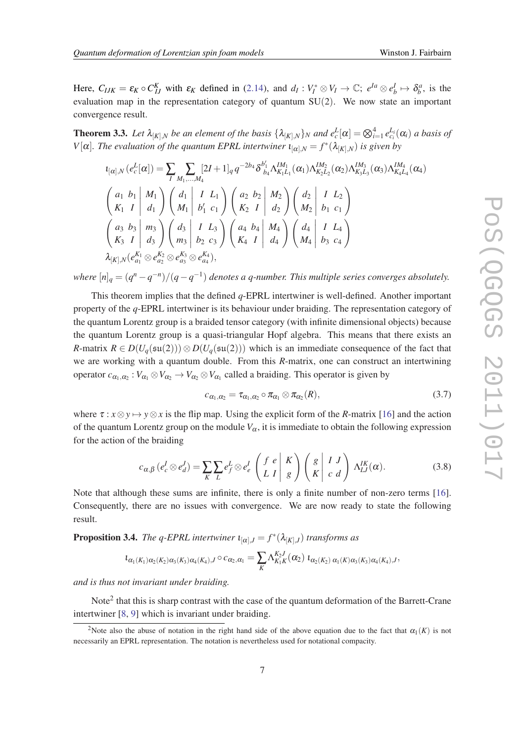Here,  $C_{IJK} = \varepsilon_K \circ C_{IJ}^K$  with  $\varepsilon_K$  defined in ([2.14\)](#page-3-0), and  $d_I : V_I^* \otimes V_I \to \mathbb{C}; e^{Ia} \otimes e^I_b \mapsto \delta^a_b$ , is the evaluation map in the representation category of quantum SU(2). We now state an important convergence result.

**Theorem 3.3.** Let  $\lambda_{[K],N}$  be an element of the basis  $\{\lambda_{[K],N}\}_N$  and  $e_c^L[\alpha] = \bigotimes_{i=1}^4 e_{c_i}^{L_i}(\alpha_i)$  a basis of *V*[ $\alpha$ ]. *The evaluation of the quantum EPRL intertwiner*  $\iota_{[\alpha],N} = f^*(\lambda_{[K],N})$  *is given by* 

$$
l_{[\alpha],N} (e_c^L[\alpha]) = \sum_{I} \sum_{M_1,...,M_4} [2I+1]_q q^{-2b_4} \delta_{b_4}^{b'_1} \Lambda_{K_1L_1}^{IM_1}(\alpha_1) \Lambda_{K_2L_2}^{IM_2}(\alpha_2) \Lambda_{K_3L_3}^{IM_3}(\alpha_3) \Lambda_{K_4L_4}^{IM_4}(\alpha_4)
$$
  
\n
$$
\begin{pmatrix} a_1 & b_1 & | & M_1 \\ K_1 & I & | & d_1 \end{pmatrix} \begin{pmatrix} d_1 & I & L_1 \\ M_1 & b'_1 & c_1 \end{pmatrix} \begin{pmatrix} a_2 & b_2 & | & M_2 \\ K_2 & I & | & d_2 \end{pmatrix} \begin{pmatrix} d_2 & | & I & L_2 \\ M_2 & b_1 & c_1 \end{pmatrix}
$$
  
\n
$$
\begin{pmatrix} a_3 & b_3 & | & m_3 \\ K_3 & I & | & d_3 \end{pmatrix} \begin{pmatrix} d_3 & | & I & L_3 \\ m_3 & | & b_2 & c_3 \end{pmatrix} \begin{pmatrix} a_4 & b_4 & | & M_4 \\ K_4 & I & | & d_4 \end{pmatrix} \begin{pmatrix} d_4 & | & I & L_4 \\ M_4 & | & b_3 & c_4 \end{pmatrix}
$$
  
\n
$$
\lambda_{[K],N} (e_{a_1}^{K_1} \otimes e_{a_2}^{K_2} \otimes e_{a_3}^{K_3} \otimes e_{a_4}^{K_4}),
$$

*where*  $[n]_q = (q^n - q^{-n})/(q - q^{-1})$  *denotes a q-number. This multiple series converges absolutely.* 

This theorem implies that the defined *q*-EPRL intertwiner is well-defined. Another important property of the *q*-EPRL intertwiner is its behaviour under braiding. The representation category of the quantum Lorentz group is a braided tensor category (with infinite dimensional objects) because the quantum Lorentz group is a quasi-triangular Hopf algebra. This means that there exists an *R*-matrix  $R \in D(U_q(\mathfrak{su}(2))) \otimes D(U_q(\mathfrak{su}(2)))$  which is an immediate consequence of the fact that we are working with a quantum double. From this *R*-matrix, one can construct an intertwining operator  $c_{\alpha_1,\alpha_2}: V_{\alpha_1} \otimes V_{\alpha_2} \to V_{\alpha_2} \otimes V_{\alpha_1}$  called a braiding. This operator is given by

$$
c_{\alpha_1,\alpha_2} = \tau_{\alpha_1,\alpha_2} \circ \pi_{\alpha_1} \otimes \pi_{\alpha_2}(R), \qquad (3.7)
$$

where  $\tau : x \otimes y \mapsto y \otimes x$  is the flip map. Using the explicit form of the *R*-matrix [\[16](#page-11-0)] and the action of the quantum Lorentz group on the module  $V_\alpha$ , it is immediate to obtain the following expression for the action of the braiding

$$
c_{\alpha,\beta} (e_c^I \otimes e_d^J) = \sum_K \sum_L e_f^L \otimes e_e^I \begin{pmatrix} f & e \\ L & I \end{pmatrix} \begin{pmatrix} g \\ g \end{pmatrix} \begin{pmatrix} g \\ K & c \end{pmatrix} \begin{pmatrix} J \\ G & A \end{pmatrix} \Lambda_{LJ}^{IK}(\alpha). \tag{3.8}
$$

Note that although these sums are infinite, there is only a finite number of non-zero terms [[16\]](#page-11-0). Consequently, there are no issues with convergence. We are now ready to state the following result.

**Proposition 3.4.** *The q-EPRL intertwiner*  $\iota_{[\alpha],J} = f^*(\lambda_{[K],J})$  *transforms as* 

$$
\iota_{\alpha_1(K_1)\alpha_2(K_2)\alpha_3(K_3)\alpha_4(K_4), J}\circ c_{\alpha_2, \alpha_1} = \sum_K \Lambda_{K_1K}^{K_2J}(\alpha_2) \; \iota_{\alpha_2(K_2)\; \alpha_1(K)\alpha_3(K_3)\alpha_4(K_4), J},
$$

*and is thus not invariant under braiding.*

Note<sup>2</sup> that this is sharp contrast with the case of the quantum deformation of the Barrett-Crane intertwiner [[8](#page-11-0), [9\]](#page-11-0) which is invariant under braiding.

<sup>&</sup>lt;sup>2</sup>Note also the abuse of notation in the right hand side of the above equation due to the fact that  $\alpha_1(K)$  is not necessarily an EPRL representation. The notation is nevertheless used for notational compacity.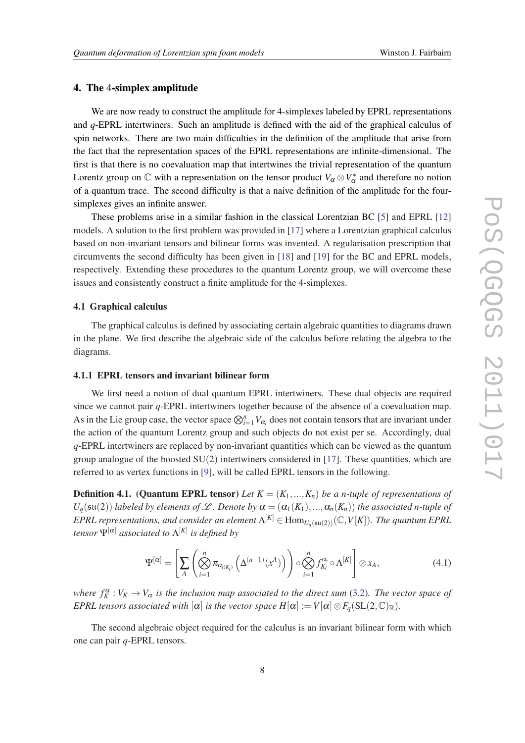# 4. The 4-simplex amplitude

We are now ready to construct the amplitude for 4-simplexes labeled by EPRL representations and *q*-EPRL intertwiners. Such an amplitude is defined with the aid of the graphical calculus of spin networks. There are two main difficulties in the definition of the amplitude that arise from the fact that the representation spaces of the EPRL representations are infinite-dimensional. The first is that there is no coevaluation map that intertwines the trivial representation of the quantum Lorentz group on  $\mathbb C$  with a representation on the tensor product  $V_\alpha \otimes V_\alpha^*$  and therefore no notion of a quantum trace. The second difficulty is that a naive definition of the amplitude for the foursimplexes gives an infinite answer.

These problems arise in a similar fashion in the classical Lorentzian BC [[5](#page-11-0)] and EPRL [\[12](#page-11-0)] models. A solution to the first problem was provided in [[17](#page-11-0)] where a Lorentzian graphical calculus based on non-invariant tensors and bilinear forms was invented. A regularisation prescription that circumvents the second difficulty has been given in [[18](#page-11-0)] and [\[19](#page-11-0)] for the BC and EPRL models, respectively. Extending these procedures to the quantum Lorentz group, we will overcome these issues and consistently construct a finite amplitude for the 4-simplexes.

#### 4.1 Graphical calculus

The graphical calculus is defined by associating certain algebraic quantities to diagrams drawn in the plane. We first describe the algebraic side of the calculus before relating the algebra to the diagrams.

#### 4.1.1 EPRL tensors and invariant bilinear form

We first need a notion of dual quantum EPRL intertwiners. These dual objects are required since we cannot pair *q*-EPRL intertwiners together because of the absence of a coevaluation map. As in the Lie group case, the vector space  $\bigotimes_{i=1}^n V_{\alpha_i}$  does not contain tensors that are invariant under the action of the quantum Lorentz group and such objects do not exist per se. Accordingly, dual *q*-EPRL intertwiners are replaced by non-invariant quantities which can be viewed as the quantum group analogue of the boosted  $SU(2)$  intertwiners considered in [\[17](#page-11-0)]. These quantities, which are referred to as vertex functions in [\[9\]](#page-11-0), will be called EPRL tensors in the following.

**Definition 4.1. (Quantum EPRL tensor)** Let  $K = (K_1, ..., K_n)$  be a n-tuple of representations of  $U_q(\mathfrak{su}(2))$  *labeled by elements of* L. Denote by  $\alpha = (\alpha_1(K_1), ..., \alpha_n(K_n))$  the associated n-tuple of  $EPRL$  representations, and consider an element  $\Lambda^{[K]}\in\text{Hom}_{U_q(\mathfrak{su}(2))}(\mathbb{C},V[K])$ . The quantum EPRL *tensor* Ψ[α] *associated to* Λ [*K*] *is defined by*

$$
\Psi^{[\alpha]} = \left[ \sum_{A} \left( \bigotimes_{i=1}^{n} \pi_{\alpha_{i(K_i)}} \left( \Delta^{(n-1)}(x^A) \right) \right) \circ \bigotimes_{i=1}^{n} f_{K_i}^{\alpha_i} \circ \Lambda^{[K]} \right] \otimes x_A, \tag{4.1}
$$

*where*  $f_K^{\alpha}: V_K \to V_{\alpha}$  *is the inclusion map associated to the direct sum* [\(3.2\)](#page-4-0)*. The vector space of EPRL tensors associated with*  $[\alpha]$  *is the vector space*  $H[\alpha] := V[\alpha] \otimes F_{\alpha}(\text{SL}(2,\mathbb{C})_{\mathbb{R}})$ *.* 

The second algebraic object required for the calculus is an invariant bilinear form with which one can pair *q*-EPRL tensors.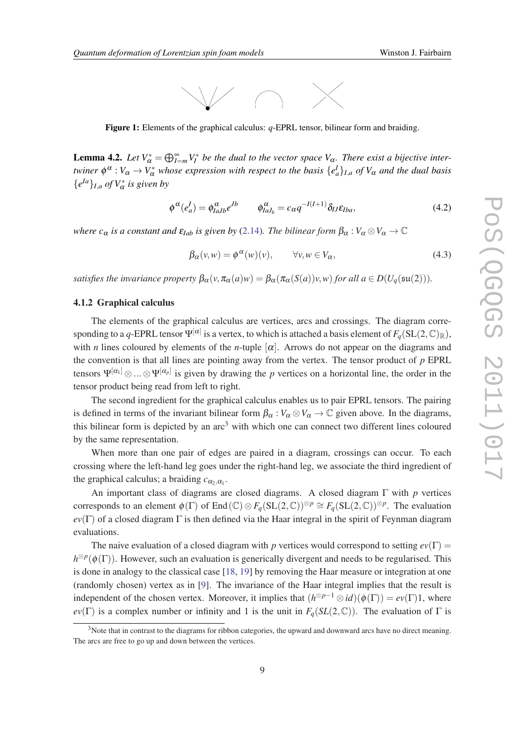

Figure 1: Elements of the graphical calculus: *q*-EPRL tensor, bilinear form and braiding.

**Lemma 4.2.** Let  $V^*_{\alpha} = \bigoplus_{I=m}^{\infty} V_I^*$  be the dual to the vector space  $V_{\alpha}$ . There exist a bijective inter*twiner*  $\phi^{\alpha}: V_{\alpha} \to V_{\alpha}^{*}$  *whose expression with respect to the basis*  $\{e^l_a\}_{l,a}$  *of*  $V_{\alpha}$  *and the dual basis*  ${e^{la}}_{I,a}$  *of*  $V^*_{\alpha}$  *is given by* 

$$
\phi^{\alpha}(e_a^I) = \phi_{IaJb}^{\alpha} e^{Jb} \qquad \phi_{IaJ_b}^{\alpha} = c_{\alpha} q^{-I(I+1)} \delta_{IJ} \varepsilon_{Iba}, \tag{4.2}
$$

*where*  $c_{\alpha}$  *is a constant and*  $\varepsilon_{Iab}$  *is given by* [\(2.14](#page-3-0))*. The bilinear form*  $\beta_{\alpha}: V_{\alpha} \otimes V_{\alpha} \to \mathbb{C}$ 

$$
\beta_{\alpha}(v, w) = \phi^{\alpha}(w)(v), \qquad \forall v, w \in V_{\alpha}, \tag{4.3}
$$

*satisfies the invariance property*  $\beta_{\alpha}(v, \pi_{\alpha}(a)w) = \beta_{\alpha}(\pi_{\alpha}(S(a))v, w)$  *for all*  $a \in D(U_a(\mathfrak{su}(2)))$ *.* 

# 4.1.2 Graphical calculus

The elements of the graphical calculus are vertices, arcs and crossings. The diagram corresponding to a  $q$ -EPRL tensor  $\Psi^{[\alpha]}$  is a vertex, to which is attached a basis element of  $F_q(\mathrm{SL}(2,\mathbb{C})_\mathbb{R}),$ with *n* lines coloured by elements of the *n*-tuple  $[\alpha]$ . Arrows do not appear on the diagrams and the convention is that all lines are pointing away from the vertex. The tensor product of *p* EPRL tensors  $\Psi^{[\alpha_1]}\otimes...\otimes\Psi^{[\alpha_p]}$  is given by drawing the *p* vertices on a horizontal line, the order in the tensor product being read from left to right.

The second ingredient for the graphical calculus enables us to pair EPRL tensors. The pairing is defined in terms of the invariant bilinear form  $\beta_{\alpha}: V_{\alpha} \otimes V_{\alpha} \to \mathbb{C}$  given above. In the diagrams, this bilinear form is depicted by an  $\arctan^3$  with which one can connect two different lines coloured by the same representation.

When more than one pair of edges are paired in a diagram, crossings can occur. To each crossing where the left-hand leg goes under the right-hand leg, we associate the third ingredient of the graphical calculus; a braiding  $c_{\alpha_2,\alpha_1}$ .

An important class of diagrams are closed diagrams. A closed diagram Γ with *p* vertices corresponds to an element  $\phi(\Gamma)$  of End $(\mathbb{C}) \otimes F_q(\mathrm{SL}(2,\mathbb{C}))^{\otimes p} \cong F_q(\mathrm{SL}(2,\mathbb{C}))^{\otimes p}$ . The evaluation  $ev(\Gamma)$  of a closed diagram  $\Gamma$  is then defined via the Haar integral in the spirit of Feynman diagram evaluations.

The naive evaluation of a closed diagram with *p* vertices would correspond to setting  $ev(\Gamma)$  $h^{\otimes p}(\phi(\Gamma))$ . However, such an evaluation is generically divergent and needs to be regularised. This is done in analogy to the classical case [[18,](#page-11-0) [19\]](#page-11-0) by removing the Haar measure or integration at one (randomly chosen) vertex as in [\[9\]](#page-11-0). The invariance of the Haar integral implies that the result is independent of the chosen vertex. Moreover, it implies that  $(h^{\otimes p-1} \otimes id)(\phi(\Gamma)) = ev(\Gamma)1$ , where *ev*(Γ) is a complex number or infinity and 1 is the unit in  $F_q(SL(2,\mathbb{C}))$ . The evaluation of Γ is

 $3$ Note that in contrast to the diagrams for ribbon categories, the upward and downward arcs have no direct meaning. The arcs are free to go up and down between the vertices.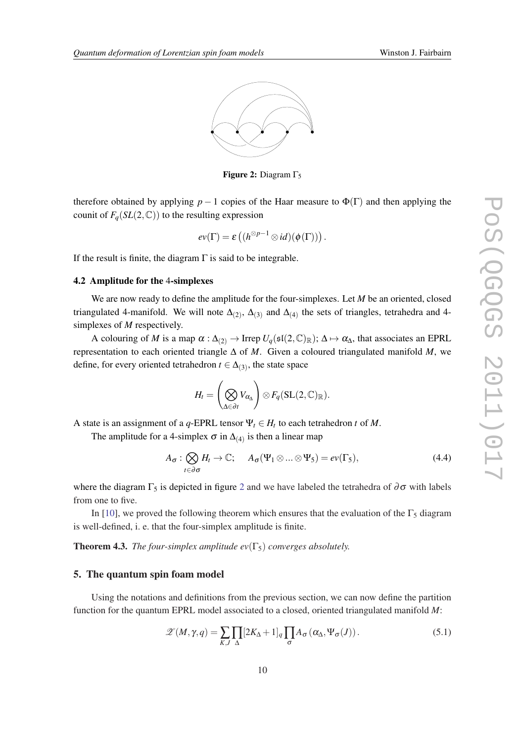

**Figure 2:** Diagram  $\Gamma_5$ 

therefore obtained by applying  $p-1$  copies of the Haar measure to  $\Phi(\Gamma)$  and then applying the counit of  $F_q(SL(2,\mathbb{C}))$  to the resulting expression

$$
ev(\Gamma) = \varepsilon\left((h^{\otimes p-1} \otimes id)(\phi(\Gamma))\right).
$$

If the result is finite, the diagram  $\Gamma$  is said to be integrable.

#### 4.2 Amplitude for the 4-simplexes

We are now ready to define the amplitude for the four-simplexes. Let *M* be an oriented, closed triangulated 4-manifold. We will note  $\Delta_{(2)}$ ,  $\Delta_{(3)}$  and  $\Delta_{(4)}$  the sets of triangles, tetrahedra and 4simplexes of *M* respectively.

A colouring of *M* is a map  $\alpha : \Delta_{(2)} \to \text{Irrep } U_q(\mathfrak{sl}(2,\mathbb{C})_\mathbb{R})$ ;  $\Delta \mapsto \alpha_\Delta$ , that associates an EPRL representation to each oriented triangle ∆ of *M*. Given a coloured triangulated manifold *M*, we define, for every oriented tetrahedron  $t \in \Delta_{(3)}$ , the state space

$$
H_t = \left(\bigotimes_{\Delta \in \partial t} V_{\alpha_{\Delta}}\right) \otimes F_q(\mathrm{SL}(2,\mathbb{C})_{\mathbb{R}}).
$$

A state is an assignment of a *q*-EPRL tensor  $\Psi_t \in H_t$  to each tetrahedron *t* of *M*.

The amplitude for a 4-simplex  $\sigma$  in  $\Delta_{(4)}$  is then a linear map

$$
A_{\sigma}: \bigotimes_{t \in \partial \sigma} H_t \to \mathbb{C}; \quad A_{\sigma}(\Psi_1 \otimes \ldots \otimes \Psi_5) = ev(\Gamma_5), \tag{4.4}
$$

where the diagram  $\Gamma_5$  is depicted in figure 2 and we have labeled the tetrahedra of  $\partial \sigma$  with labels from one to five.

In [\[10](#page-11-0)], we proved the following theorem which ensures that the evaluation of the  $\Gamma_5$  diagram is well-defined, i. e. that the four-simplex amplitude is finite.

**Theorem 4.3.** *The four-simplex amplitude*  $ev(\Gamma_5)$  *converges absolutely.* 

## 5. The quantum spin foam model

Using the notations and definitions from the previous section, we can now define the partition function for the quantum EPRL model associated to a closed, oriented triangulated manifold *M*:

$$
\mathscr{Z}(M,\gamma,q) = \sum_{K,J} \prod_{\Delta} [2K_{\Delta} + 1]_q \prod_{\sigma} A_{\sigma} (\alpha_{\Delta}, \Psi_{\sigma}(J)). \tag{5.1}
$$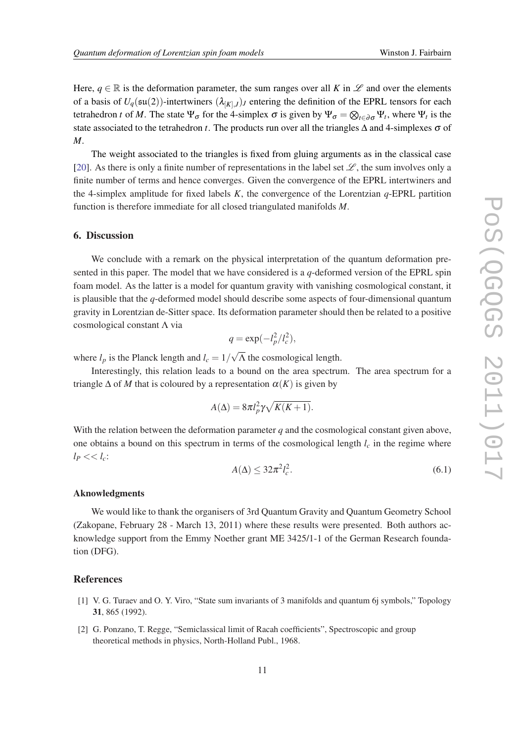<span id="page-10-0"></span>Here,  $q \in \mathbb{R}$  is the deformation parameter, the sum ranges over all K in  $\mathscr{L}$  and over the elements of a basis of  $U_q(\mathfrak{su}(2))$ -intertwiners  $(\lambda_{[K],J})_J$  entering the definition of the EPRL tensors for each tetrahedron *t* of *M*. The state  $\Psi_{\sigma}$  for the 4-simplex  $\sigma$  is given by  $\Psi_{\sigma} = \otimes_{t \in \partial \sigma} \Psi_t$ , where  $\Psi_t$  is the state associated to the tetrahedron *t*. The products run over all the triangles  $\Delta$  and 4-simplexes  $\sigma$  of *M*.

The weight associated to the triangles is fixed from gluing arguments as in the classical case [[20\]](#page-11-0). As there is only a finite number of representations in the label set  $\mathscr{L}$ , the sum involves only a finite number of terms and hence converges. Given the convergence of the EPRL intertwiners and the 4-simplex amplitude for fixed labels *K*, the convergence of the Lorentzian *q*-EPRL partition function is therefore immediate for all closed triangulated manifolds *M*.

#### 6. Discussion

We conclude with a remark on the physical interpretation of the quantum deformation presented in this paper. The model that we have considered is a *q*-deformed version of the EPRL spin foam model. As the latter is a model for quantum gravity with vanishing cosmological constant, it is plausible that the *q*-deformed model should describe some aspects of four-dimensional quantum gravity in Lorentzian de-Sitter space. Its deformation parameter should then be related to a positive cosmological constant Λ via

$$
q = \exp(-l_p^2/l_c^2),
$$

where  $l_p$  is the Planck length and  $l_c = 1/2$ √ Λ the cosmological length.

Interestingly, this relation leads to a bound on the area spectrum. The area spectrum for a triangle  $\Delta$  of *M* that is coloured by a representation  $\alpha(K)$  is given by

$$
A(\Delta) = 8\pi l_p^2 \gamma \sqrt{K(K+1)}.
$$

With the relation between the deformation parameter *q* and the cosmological constant given above, one obtains a bound on this spectrum in terms of the cosmological length  $l_c$  in the regime where  $l_P \ll l_c$ :

$$
A(\Delta) \le 32\pi^2 l_c^2. \tag{6.1}
$$

#### Aknowledgments

We would like to thank the organisers of 3rd Quantum Gravity and Quantum Geometry School (Zakopane, February 28 - March 13, 2011) where these results were presented. Both authors acknowledge support from the Emmy Noether grant ME 3425/1-1 of the German Research foundation (DFG).

# References

- [1] V. G. Turaev and O. Y. Viro, "State sum invariants of 3 manifolds and quantum 6j symbols," Topology 31, 865 (1992).
- [2] G. Ponzano, T. Regge, "Semiclassical limit of Racah coefficients", Spectroscopic and group theoretical methods in physics, North-Holland Publ., 1968.